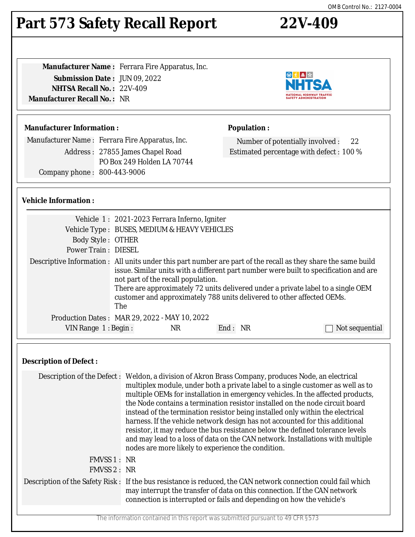# **Part 573 Safety Recall Report 22V-409**

**Manufacturer Name :** Ferrara Fire Apparatus, Inc. **Submission Date :** JUN 09, 2022 **NHTSA Recall No. :** 22V-409 **Manufacturer Recall No. :** NR



◎大▲☆

Number of potentially involved : 22 Estimated percentage with defect : 100 %

**Population :**

#### **Manufacturer Information :**

Manufacturer Name : Ferrara Fire Apparatus, Inc. Address : 27855 James Chapel Road PO Box 249 Holden LA 70744

Company phone : 800-443-9006

#### **Vehicle Information :**

|                            | Vehicle 1: 2021-2023 Ferrara Inferno, Igniter                                                                                                                                                                                                                                                                                                                                                                      |     |         |  |                |
|----------------------------|--------------------------------------------------------------------------------------------------------------------------------------------------------------------------------------------------------------------------------------------------------------------------------------------------------------------------------------------------------------------------------------------------------------------|-----|---------|--|----------------|
|                            | Vehicle Type : BUSES, MEDIUM & HEAVY VEHICLES                                                                                                                                                                                                                                                                                                                                                                      |     |         |  |                |
| <b>Body Style: OTHER</b>   |                                                                                                                                                                                                                                                                                                                                                                                                                    |     |         |  |                |
| <b>Power Train: DIESEL</b> |                                                                                                                                                                                                                                                                                                                                                                                                                    |     |         |  |                |
|                            | Descriptive Information : All units under this part number are part of the recall as they share the same build<br>issue. Similar units with a different part number were built to specification and are<br>not part of the recall population.<br>There are approximately 72 units delivered under a private label to a single OEM<br>customer and approximately 788 units delivered to other affected OEMs.<br>The |     |         |  |                |
|                            | Production Dates: MAR 29, 2022 - MAY 10, 2022                                                                                                                                                                                                                                                                                                                                                                      |     |         |  |                |
| VIN Range $1:$ Begin:      |                                                                                                                                                                                                                                                                                                                                                                                                                    | NR. | End: NR |  | Not sequential |

#### **Description of Defect :**

|             | Description of the Defect : Weldon, a division of Akron Brass Company, produces Node, an electrical<br>multiplex module, under both a private label to a single customer as well as to<br>multiple OEMs for installation in emergency vehicles. In the affected products,<br>the Node contains a termination resistor installed on the node circuit board<br>instead of the termination resistor being installed only within the electrical<br>harness. If the vehicle network design has not accounted for this additional<br>resistor, it may reduce the bus resistance below the defined tolerance levels<br>and may lead to a loss of data on the CAN network. Installations with multiple<br>nodes are more likely to experience the condition. |
|-------------|------------------------------------------------------------------------------------------------------------------------------------------------------------------------------------------------------------------------------------------------------------------------------------------------------------------------------------------------------------------------------------------------------------------------------------------------------------------------------------------------------------------------------------------------------------------------------------------------------------------------------------------------------------------------------------------------------------------------------------------------------|
| FMVSS 1: NR |                                                                                                                                                                                                                                                                                                                                                                                                                                                                                                                                                                                                                                                                                                                                                      |
| FMVSS 2: NR |                                                                                                                                                                                                                                                                                                                                                                                                                                                                                                                                                                                                                                                                                                                                                      |
|             | Description of the Safety Risk: If the bus resistance is reduced, the CAN network connection could fail which<br>may interrupt the transfer of data on this connection. If the CAN network<br>connection is interrupted or fails and depending on how the vehicle's                                                                                                                                                                                                                                                                                                                                                                                                                                                                                  |
|             |                                                                                                                                                                                                                                                                                                                                                                                                                                                                                                                                                                                                                                                                                                                                                      |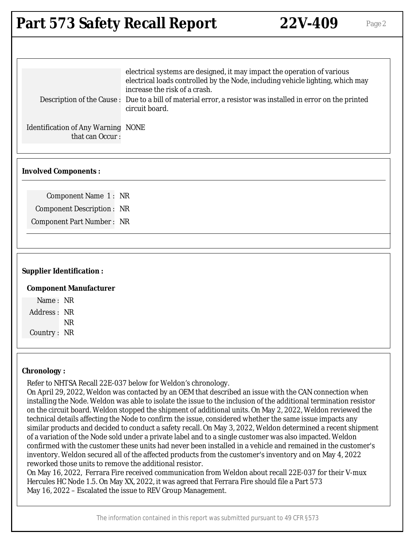### **Part 573 Safety Recall Report 22V-409** Page 2

| electrical systems are designed, it may impact the operation of various                                                                                                                                                                          |  |
|--------------------------------------------------------------------------------------------------------------------------------------------------------------------------------------------------------------------------------------------------|--|
| electrical loads controlled by the Node, including vehicle lighting, which may<br>increase the risk of a crash.<br>Description of the Cause: Due to a bill of material error, a resistor was installed in error on the printed<br>circuit board. |  |
| <b>Identification of Any Warning NONE</b><br>that can Occur:                                                                                                                                                                                     |  |

#### **Involved Components :**

Component Name 1 : NR Component Description : NR Component Part Number : NR

#### **Supplier Identification :**

#### **Component Manufacturer**

Name : NR Address : NR NR Country : NR

#### **Chronology :**

Refer to NHTSA Recall 22E-037 below for Weldon's chronology.

On April 29, 2022, Weldon was contacted by an OEM that described an issue with the CAN connection when installing the Node. Weldon was able to isolate the issue to the inclusion of the additional termination resistor on the circuit board. Weldon stopped the shipment of additional units. On May 2, 2022, Weldon reviewed the technical details affecting the Node to confirm the issue, considered whether the same issue impacts any similar products and decided to conduct a safety recall. On May 3, 2022, Weldon determined a recent shipment of a variation of the Node sold under a private label and to a single customer was also impacted. Weldon confirmed with the customer these units had never been installed in a vehicle and remained in the customer's inventory. Weldon secured all of the affected products from the customer's inventory and on May 4, 2022 reworked those units to remove the additional resistor.

On May 16, 2022, Ferrara Fire received communication from Weldon about recall 22E-037 for their V-mux Hercules HC Node 1.5. On May XX, 2022, it was agreed that Ferrara Fire should file a Part 573 May 16, 2022 – Escalated the issue to REV Group Management.